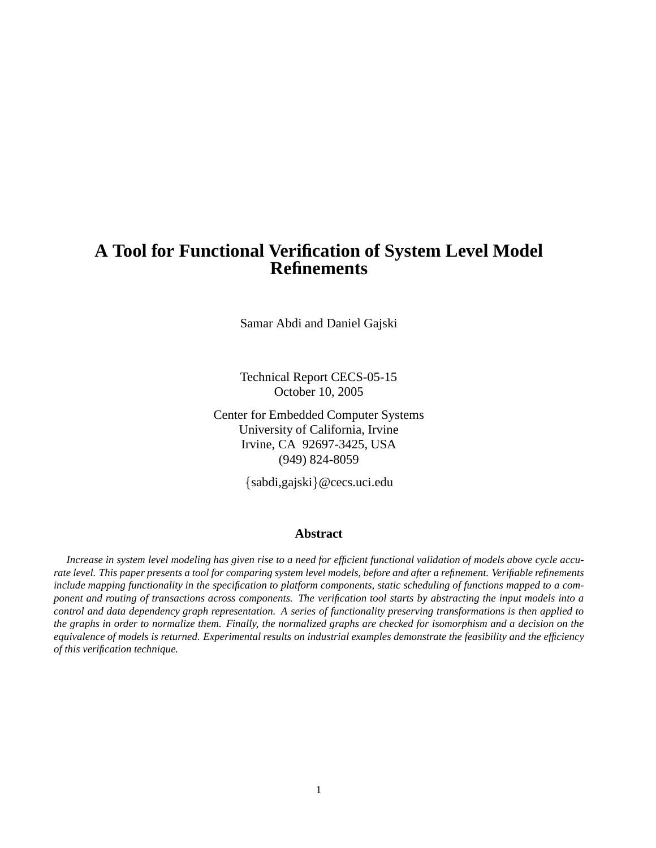# **A Tool for Functional Verification of System Level Model Refinements**

Samar Abdi and Daniel Gajski

Technical Report CECS-05-15 October 10, 2005

Center for Embedded Computer Systems University of California, Irvine Irvine, CA 92697-3425, USA (949) 824-8059

{sabdi,gajski}@cecs.uci.edu

#### **Abstract**

Increase in system level modeling has given rise to a need for efficient functional validation of models above cycle accu*rate level. This paper presents a tool for comparing system level models, before and after a refinement. Verifiable refinements include mapping functionality in the specification to platform components, static scheduling of functions mapped to a component and routing of transactions across components. The verification tool starts by abstracting the input models into a control and data dependency graph representation. A series of functionality preserving transformations is then applied to the graphs in order to normalize them. Finally, the normalized graphs are checked for isomorphism and a decision on the equivalence of models is returned. Experimental results on industrial examples demonstrate the feasibility and the efficiency of this verification technique.*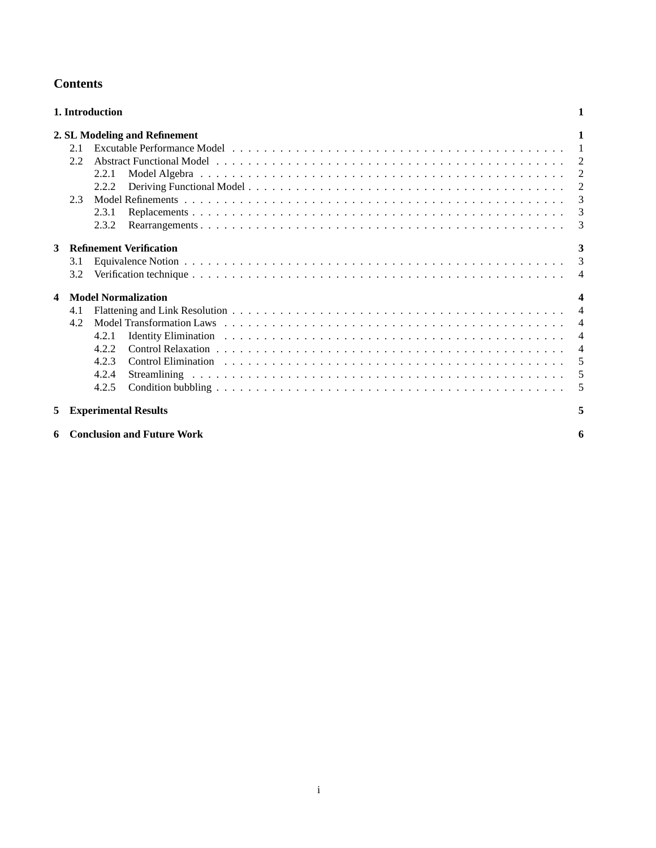|                         | 1. Introduction<br>1            |                                     |                |  |  |  |  |  |  |  |  |
|-------------------------|---------------------------------|-------------------------------------|----------------|--|--|--|--|--|--|--|--|
|                         |                                 | 2. SL Modeling and Refinement       | 1              |  |  |  |  |  |  |  |  |
|                         | 2.1                             |                                     | $\overline{1}$ |  |  |  |  |  |  |  |  |
|                         | 2.2                             |                                     | 2              |  |  |  |  |  |  |  |  |
|                         |                                 | 2.2.1                               | 2              |  |  |  |  |  |  |  |  |
|                         |                                 | 2.2.2                               | $\overline{2}$ |  |  |  |  |  |  |  |  |
|                         | 2.3                             |                                     | $\overline{3}$ |  |  |  |  |  |  |  |  |
|                         |                                 | 2.3.1                               | $\overline{3}$ |  |  |  |  |  |  |  |  |
|                         |                                 | 2.3.2                               | 3              |  |  |  |  |  |  |  |  |
| 3                       |                                 | <b>Refinement Verification</b>      | 3              |  |  |  |  |  |  |  |  |
|                         | 3.1                             |                                     | 3              |  |  |  |  |  |  |  |  |
|                         | 3.2                             |                                     | $\overline{4}$ |  |  |  |  |  |  |  |  |
| $\overline{\mathbf{4}}$ | <b>Model Normalization</b><br>4 |                                     |                |  |  |  |  |  |  |  |  |
|                         | 4.1                             |                                     | $\overline{4}$ |  |  |  |  |  |  |  |  |
|                         | 4.2                             |                                     | $\overline{4}$ |  |  |  |  |  |  |  |  |
|                         |                                 | 4.2.1                               | $\overline{4}$ |  |  |  |  |  |  |  |  |
|                         |                                 | 4.2.2                               | $\overline{4}$ |  |  |  |  |  |  |  |  |
|                         |                                 | 4.2.3                               | 5              |  |  |  |  |  |  |  |  |
|                         |                                 | 4.2.4                               | 5              |  |  |  |  |  |  |  |  |
|                         |                                 | 4.2.5                               | 5              |  |  |  |  |  |  |  |  |
| 5                       |                                 | <b>Experimental Results</b>         | 5              |  |  |  |  |  |  |  |  |
|                         |                                 | <b>6</b> Conclusion and Future Work | 6              |  |  |  |  |  |  |  |  |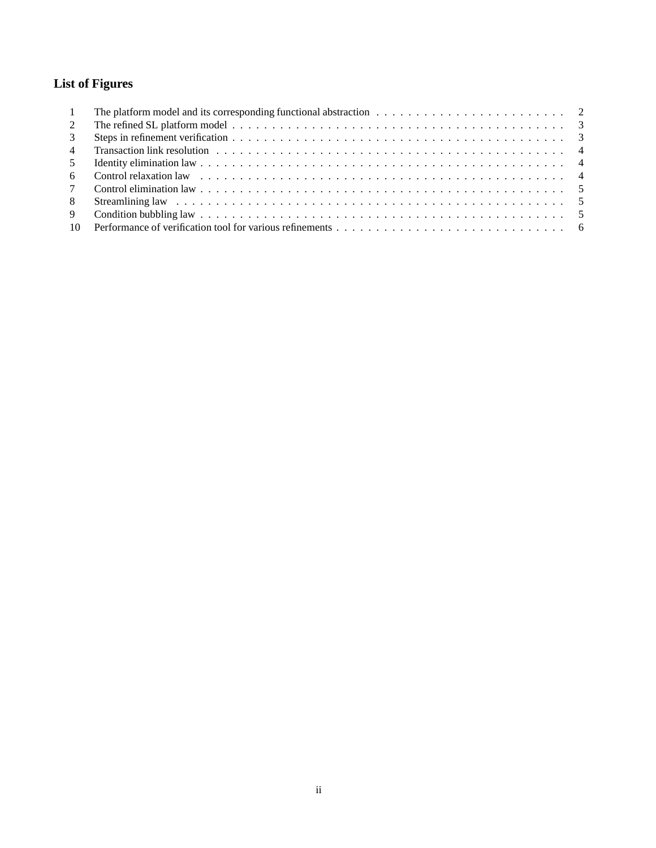# **List of Figures**

| $\overline{1}$ | The platform model and its corresponding functional abstraction $\ldots \ldots \ldots \ldots \ldots \ldots \ldots \ldots$ |  |
|----------------|---------------------------------------------------------------------------------------------------------------------------|--|
| 2              |                                                                                                                           |  |
| 3              |                                                                                                                           |  |
|                |                                                                                                                           |  |
| 5              |                                                                                                                           |  |
|                |                                                                                                                           |  |
|                |                                                                                                                           |  |
|                |                                                                                                                           |  |
| 9              |                                                                                                                           |  |
|                |                                                                                                                           |  |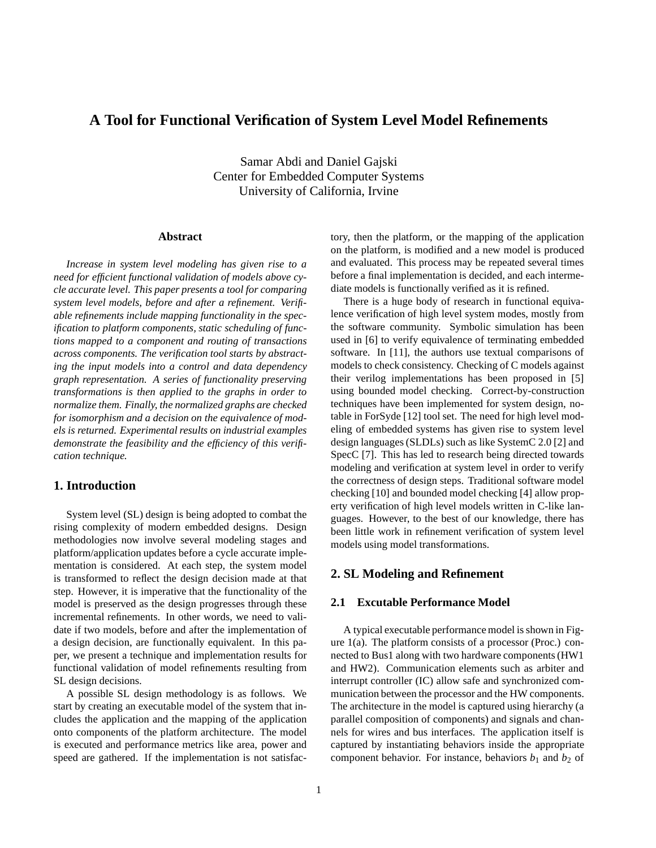## **A Tool for Functional Verification of System Level Model Refinements**

Samar Abdi and Daniel Gajski Center for Embedded Computer Systems University of California, Irvine

#### **Abstract**

*Increase in system level modeling has given rise to a need for efficient functional validation of models above cycle accurate level. This paper presents a tool for comparing system level models, before and after a refinement. Verifiable refinements include mapping functionality in the specification to platform components, static scheduling of functions mapped to a component and routing of transactions across components. The verification tool starts by abstracting the input models into a control and data dependency graph representation. A series of functionality preserving transformations is then applied to the graphs in order to normalize them. Finally, the normalized graphs are checked for isomorphism and a decision on the equivalence of models is returned. Experimental results on industrial examples demonstrate the feasibility and the efficiency of this verification technique.*

## **1. Introduction**

System level (SL) design is being adopted to combat the rising complexity of modern embedded designs. Design methodologies now involve several modeling stages and platform/application updates before a cycle accurate implementation is considered. At each step, the system model is transformed to reflect the design decision made at that step. However, it is imperative that the functionality of the model is preserved as the design progresses through these incremental refinements. In other words, we need to validate if two models, before and after the implementation of a design decision, are functionally equivalent. In this paper, we present a technique and implementation results for functional validation of model refinements resulting from SL design decisions.

A possible SL design methodology is as follows. We start by creating an executable model of the system that includes the application and the mapping of the application onto components of the platform architecture. The model is executed and performance metrics like area, power and speed are gathered. If the implementation is not satisfactory, then the platform, or the mapping of the application on the platform, is modified and a new model is produced and evaluated. This process may be repeated several times before a final implementation is decided, and each intermediate models is functionally verified as it is refined.

There is a huge body of research in functional equivalence verification of high level system modes, mostly from the software community. Symbolic simulation has been used in [6] to verify equivalence of terminating embedded software. In [11], the authors use textual comparisons of models to check consistency. Checking of C models against their verilog implementations has been proposed in [5] using bounded model checking. Correct-by-construction techniques have been implemented for system design, notable in ForSyde [12] tool set. The need for high level modeling of embedded systems has given rise to system level design languages (SLDLs) such as like SystemC 2.0 [2] and SpecC [7]. This has led to research being directed towards modeling and verification at system level in order to verify the correctness of design steps. Traditional software model checking [10] and bounded model checking [4] allow property verification of high level models written in C-like languages. However, to the best of our knowledge, there has been little work in refinement verification of system level models using model transformations.

## **2. SL Modeling and Refinement**

#### **2.1 Excutable Performance Model**

A typical executable performance model is shown in Figure 1(a). The platform consists of a processor (Proc.) connected to Bus1 along with two hardware components (HW1 and HW2). Communication elements such as arbiter and interrupt controller (IC) allow safe and synchronized communication between the processor and the HW components. The architecture in the model is captured using hierarchy (a parallel composition of components) and signals and channels for wires and bus interfaces. The application itself is captured by instantiating behaviors inside the appropriate component behavior. For instance, behaviors  $b_1$  and  $b_2$  of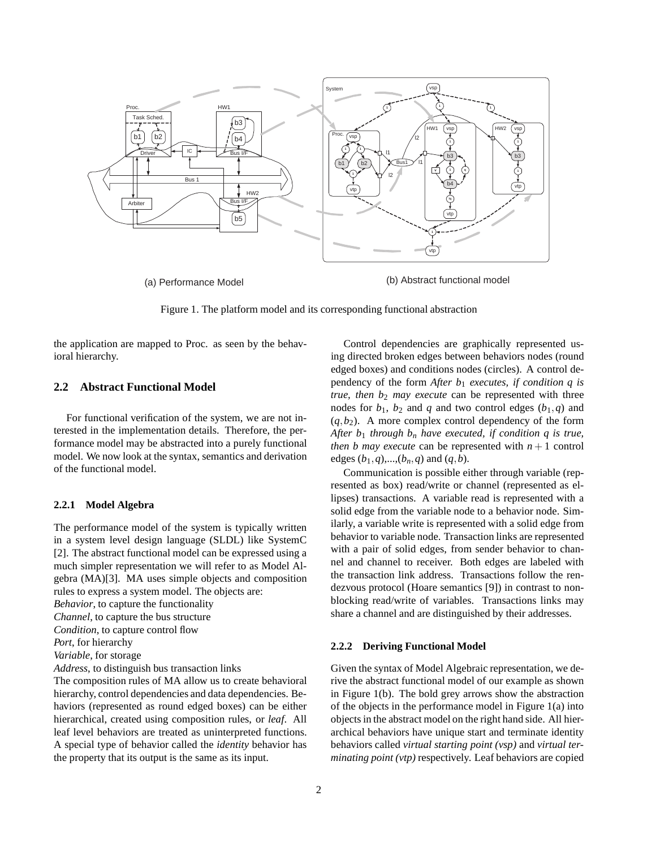

Figure 1. The platform model and its corresponding functional abstraction

the application are mapped to Proc. as seen by the behavioral hierarchy.

## **2.2 Abstract Functional Model**

For functional verification of the system, we are not interested in the implementation details. Therefore, the performance model may be abstracted into a purely functional model. We now look at the syntax, semantics and derivation of the functional model.

#### **2.2.1 Model Algebra**

The performance model of the system is typically written in a system level design language (SLDL) like SystemC [2]. The abstract functional model can be expressed using a much simpler representation we will refer to as Model Algebra (MA)[3]. MA uses simple objects and composition rules to express a system model. The objects are:

*Behavior*, to capture the functionality

*Channel*, to capture the bus structure

*Condition*, to capture control flow

*Port*, for hierarchy

*Variable*, for storage

*Address*, to distinguish bus transaction links

The composition rules of MA allow us to create behavioral hierarchy, control dependencies and data dependencies. Behaviors (represented as round edged boxes) can be either hierarchical, created using composition rules, or *leaf*. All leaf level behaviors are treated as uninterpreted functions. A special type of behavior called the *identity* behavior has the property that its output is the same as its input.

Control dependencies are graphically represented using directed broken edges between behaviors nodes (round edged boxes) and conditions nodes (circles). A control dependency of the form *After b*<sup>1</sup> *executes, if condition q is true, then*  $b_2$  *may execute* can be represented with three nodes for  $b_1$ ,  $b_2$  and  $q$  and two control edges  $(b_1, q)$  and  $(q, b_2)$ . A more complex control dependency of the form *After b*<sup>1</sup> *through b<sup>n</sup> have executed, if condition q is true, then b may execute* can be represented with  $n + 1$  control edges  $(b_1, q)$ ,..., $(b_n, q)$  and  $(q, b)$ .

Communication is possible either through variable (represented as box) read/write or channel (represented as ellipses) transactions. A variable read is represented with a solid edge from the variable node to a behavior node. Similarly, a variable write is represented with a solid edge from behavior to variable node. Transaction links are represented with a pair of solid edges, from sender behavior to channel and channel to receiver. Both edges are labeled with the transaction link address. Transactions follow the rendezvous protocol (Hoare semantics [9]) in contrast to nonblocking read/write of variables. Transactions links may share a channel and are distinguished by their addresses.

#### **2.2.2 Deriving Functional Model**

Given the syntax of Model Algebraic representation, we derive the abstract functional model of our example as shown in Figure 1(b). The bold grey arrows show the abstraction of the objects in the performance model in Figure 1(a) into objects in the abstract model on the right hand side. All hierarchical behaviors have unique start and terminate identity behaviors called *virtual starting point (vsp)* and *virtual terminating point (vtp)* respectively. Leaf behaviors are copied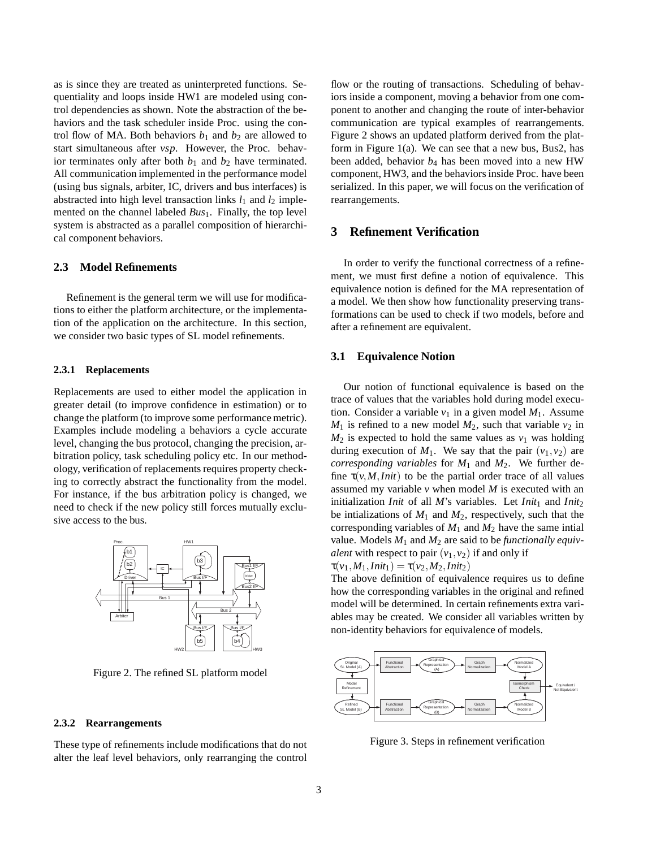as is since they are treated as uninterpreted functions. Sequentiality and loops inside HW1 are modeled using control dependencies as shown. Note the abstraction of the behaviors and the task scheduler inside Proc. using the control flow of MA. Both behaviors  $b_1$  and  $b_2$  are allowed to start simultaneous after *vsp*. However, the Proc. behavior terminates only after both  $b_1$  and  $b_2$  have terminated. All communication implemented in the performance model (using bus signals, arbiter, IC, drivers and bus interfaces) is abstracted into high level transaction links  $l_1$  and  $l_2$  implemented on the channel labeled *Bus*<sub>1</sub>. Finally, the top level system is abstracted as a parallel composition of hierarchical component behaviors.

#### **2.3 Model Refinements**

Refinement is the general term we will use for modifications to either the platform architecture, or the implementation of the application on the architecture. In this section, we consider two basic types of SL model refinements.

#### **2.3.1 Replacements**

Replacements are used to either model the application in greater detail (to improve confidence in estimation) or to change the platform (to improve some performance metric). Examples include modeling a behaviors a cycle accurate level, changing the bus protocol, changing the precision, arbitration policy, task scheduling policy etc. In our methodology, verification of replacements requires property checking to correctly abstract the functionality from the model. For instance, if the bus arbitration policy is changed, we need to check if the new policy still forces mutually exclusive access to the bus.



Figure 2. The refined SL platform model

#### **2.3.2 Rearrangements**

These type of refinements include modifications that do not alter the leaf level behaviors, only rearranging the control flow or the routing of transactions. Scheduling of behaviors inside a component, moving a behavior from one component to another and changing the route of inter-behavior communication are typical examples of rearrangements. Figure 2 shows an updated platform derived from the platform in Figure 1(a). We can see that a new bus, Bus2, has been added, behavior *b*<sup>4</sup> has been moved into a new HW component, HW3, and the behaviors inside Proc. have been serialized. In this paper, we will focus on the verification of rearrangements.

### **3 Refinement Verification**

In order to verify the functional correctness of a refinement, we must first define a notion of equivalence. This equivalence notion is defined for the MA representation of a model. We then show how functionality preserving transformations can be used to check if two models, before and after a refinement are equivalent.

#### **3.1 Equivalence Notion**

Our notion of functional equivalence is based on the trace of values that the variables hold during model execution. Consider a variable  $v_1$  in a given model  $M_1$ . Assume  $M_1$  is refined to a new model  $M_2$ , such that variable  $v_2$  in  $M_2$  is expected to hold the same values as  $v_1$  was holding during execution of  $M_1$ . We say that the pair  $(v_1, v_2)$  are *corresponding variables* for *M*<sup>1</sup> and *M*2. We further define  $\tau(v, M,Init)$  to be the partial order trace of all values assumed my variable *v* when model *M* is executed with an initialization *Init* of all  $M$ 's variables. Let *Init*<sub>1</sub> and *Init*<sub>2</sub> be intializations of  $M_1$  and  $M_2$ , respectively, such that the corresponding variables of  $M_1$  and  $M_2$  have the same intial value. Models *M*<sup>1</sup> and *M*<sup>2</sup> are said to be *functionally equivalent* with respect to pair  $(v_1, v_2)$  if and only if  $\tau(v_1, M_1,Init_1) = \tau(v_2, M_2,Init_2)$ 

The above definition of equivalence requires us to define how the corresponding variables in the original and refined model will be determined. In certain refinements extra variables may be created. We consider all variables written by non-identity behaviors for equivalence of models.



Figure 3. Steps in refinement verification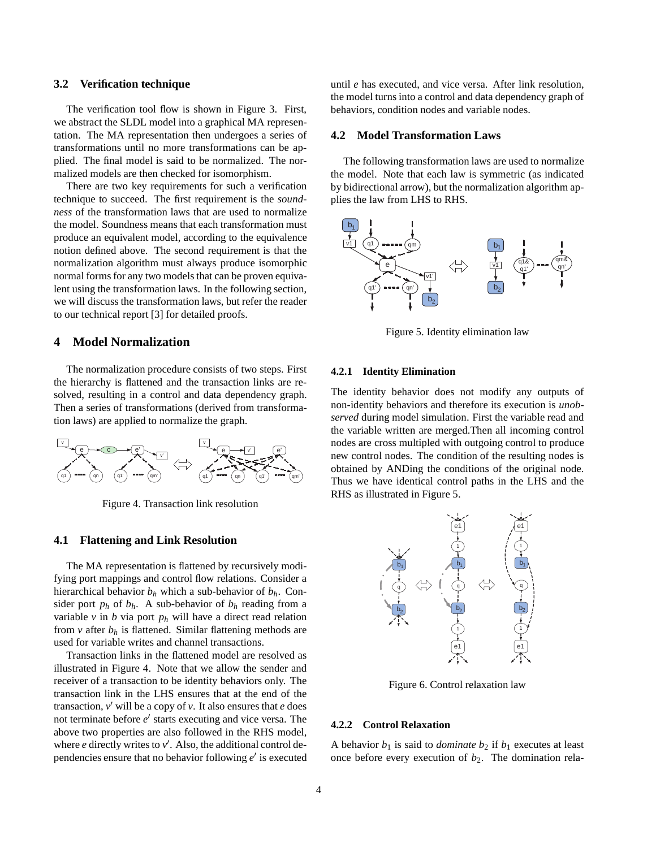#### **3.2 Verification technique**

The verification tool flow is shown in Figure 3. First, we abstract the SLDL model into a graphical MA representation. The MA representation then undergoes a series of transformations until no more transformations can be applied. The final model is said to be normalized. The normalized models are then checked for isomorphism.

There are two key requirements for such a verification technique to succeed. The first requirement is the *soundness* of the transformation laws that are used to normalize the model. Soundness means that each transformation must produce an equivalent model, according to the equivalence notion defined above. The second requirement is that the normalization algorithm must always produce isomorphic normal forms for any two models that can be proven equivalent using the transformation laws. In the following section, we will discuss the transformation laws, but refer the reader to our technical report [3] for detailed proofs.

## **4 Model Normalization**

The normalization procedure consists of two steps. First the hierarchy is flattened and the transaction links are resolved, resulting in a control and data dependency graph. Then a series of transformations (derived from transformation laws) are applied to normalize the graph.



Figure 4. Transaction link resolution

#### **4.1 Flattening and Link Resolution**

The MA representation is flattened by recursively modifying port mappings and control flow relations. Consider a hierarchical behavior  $b_h$  which a sub-behavior of  $b_h$ . Consider port  $p_h$  of  $b_h$ . A sub-behavior of  $b_h$  reading from a variable *v* in *b* via port *p<sup>h</sup>* will have a direct read relation from  $v$  after  $b_h$  is flattened. Similar flattening methods are used for variable writes and channel transactions.

Transaction links in the flattened model are resolved as illustrated in Figure 4. Note that we allow the sender and receiver of a transaction to be identity behaviors only. The transaction link in the LHS ensures that at the end of the transaction, *v* ′ will be a copy of *v*. It also ensures that *e* does not terminate before *e* ′ starts executing and vice versa. The above two properties are also followed in the RHS model, where  $e$  directly writes to  $v'$ . Also, the additional control dependencies ensure that no behavior following *e* ′ is executed

until *e* has executed, and vice versa. After link resolution, the model turns into a control and data dependency graph of behaviors, condition nodes and variable nodes.

#### **4.2 Model Transformation Laws**

The following transformation laws are used to normalize the model. Note that each law is symmetric (as indicated by bidirectional arrow), but the normalization algorithm applies the law from LHS to RHS.



Figure 5. Identity elimination law

#### **4.2.1 Identity Elimination**

The identity behavior does not modify any outputs of non-identity behaviors and therefore its execution is *unobserved* during model simulation. First the variable read and the variable written are merged.Then all incoming control nodes are cross multipled with outgoing control to produce new control nodes. The condition of the resulting nodes is obtained by ANDing the conditions of the original node. Thus we have identical control paths in the LHS and the RHS as illustrated in Figure 5.



Figure 6. Control relaxation law

## **4.2.2 Control Relaxation**

A behavior  $b_1$  is said to *dominate*  $b_2$  if  $b_1$  executes at least once before every execution of  $b_2$ . The domination rela-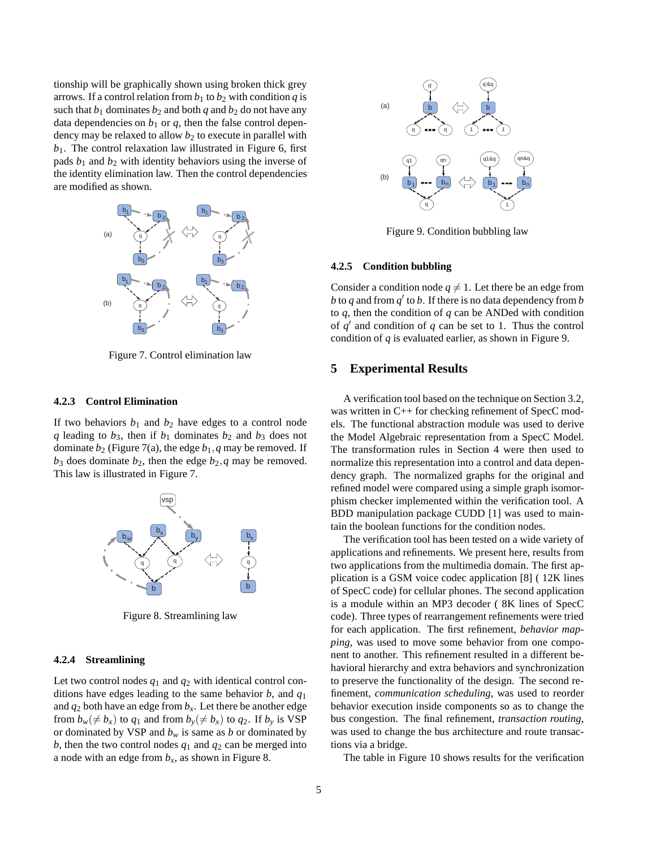tionship will be graphically shown using broken thick grey arrows. If a control relation from  $b_1$  to  $b_2$  with condition  $q$  is such that  $b_1$  dominates  $b_2$  and both  $q$  and  $b_2$  do not have any data dependencies on  $b_1$  or  $q$ , then the false control dependency may be relaxed to allow  $b_2$  to execute in parallel with  $b_1$ . The control relaxation law illustrated in Figure 6, first pads  $b_1$  and  $b_2$  with identity behaviors using the inverse of the identity elimination law. Then the control dependencies are modified as shown.



Figure 7. Control elimination law

#### **4.2.3 Control Elimination**

If two behaviors  $b_1$  and  $b_2$  have edges to a control node *q* leading to  $b_3$ , then if  $b_1$  dominates  $b_2$  and  $b_3$  does not dominate  $b_2$  (Figure 7(a), the edge  $b_1$ , q may be removed. If  $b_3$  does dominate  $b_2$ , then the edge  $b_2$ , q may be removed. This law is illustrated in Figure 7.



Figure 8. Streamlining law

#### **4.2.4 Streamlining**

Let two control nodes *q*<sup>1</sup> and *q*<sup>2</sup> with identical control conditions have edges leading to the same behavior *b*, and *q*<sup>1</sup> and  $q_2$  both have an edge from  $b_x$ . Let there be another edge from  $b_w \neq b_x$  to  $q_1$  and from  $b_v \neq b_x$  to  $q_2$ . If  $b_v$  is VSP or dominated by VSP and  $b_w$  is same as  $b$  or dominated by *b*, then the two control nodes  $q_1$  and  $q_2$  can be merged into a node with an edge from  $b_x$ , as shown in Figure 8.



Figure 9. Condition bubbling law

#### **4.2.5 Condition bubbling**

Consider a condition node  $q \neq 1$ . Let there be an edge from *b* to *q* and from  $q'$  to *b*. If there is no data dependency from *b* to *q*, then the condition of *q* can be ANDed with condition of  $q'$  and condition of  $q$  can be set to 1. Thus the control condition of *q* is evaluated earlier, as shown in Figure 9.

### **5 Experimental Results**

A verification tool based on the technique on Section 3.2, was written in C++ for checking refinement of SpecC models. The functional abstraction module was used to derive the Model Algebraic representation from a SpecC Model. The transformation rules in Section 4 were then used to normalize this representation into a control and data dependency graph. The normalized graphs for the original and refined model were compared using a simple graph isomorphism checker implemented within the verification tool. A BDD manipulation package CUDD [1] was used to maintain the boolean functions for the condition nodes.

The verification tool has been tested on a wide variety of applications and refinements. We present here, results from two applications from the multimedia domain. The first application is a GSM voice codec application [8] ( 12K lines of SpecC code) for cellular phones. The second application is a module within an MP3 decoder ( 8K lines of SpecC code). Three types of rearrangement refinements were tried for each application. The first refinement, *behavior mapping*, was used to move some behavior from one component to another. This refinement resulted in a different behavioral hierarchy and extra behaviors and synchronization to preserve the functionality of the design. The second refinement, *communication scheduling*, was used to reorder behavior execution inside components so as to change the bus congestion. The final refinement, *transaction routing*, was used to change the bus architecture and route transactions via a bridge.

The table in Figure 10 shows results for the verification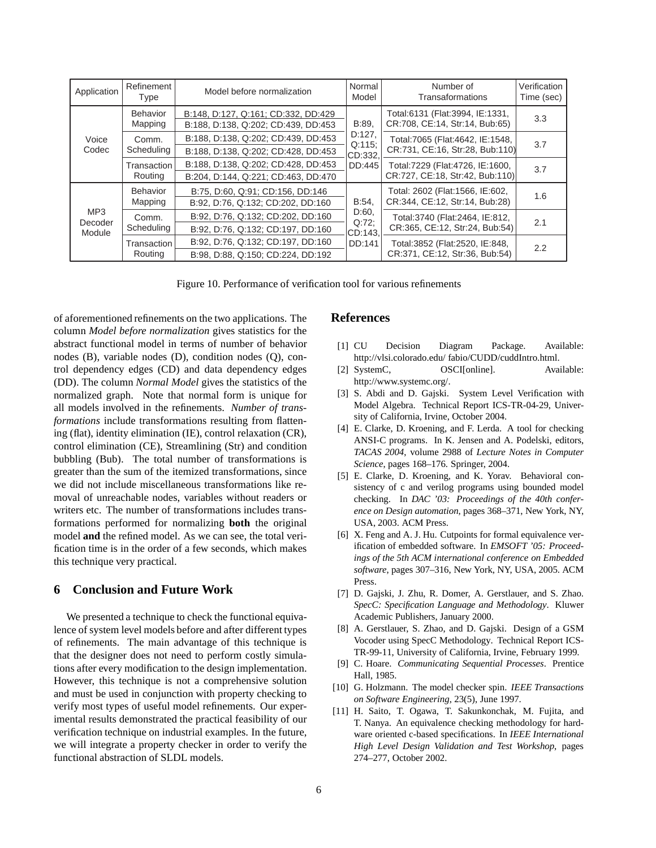| Application              | Refinement<br><b>Type</b>  | Model before normalization                                                 | Normal<br>Model                               | Number of<br>Transaformations                                         | Verification<br>Time (sec) |
|--------------------------|----------------------------|----------------------------------------------------------------------------|-----------------------------------------------|-----------------------------------------------------------------------|----------------------------|
|                          | <b>Behavior</b><br>Mapping | B:148, D:127, Q:161; CD:332, DD:429<br>B:188, D:138, Q:202; CD:439, DD:453 | B:89,<br>D:127,<br>Q:115<br>CD:332.<br>DD:445 | Total:6131 (Flat:3994, IE:1331,<br>CR:708, CE:14, Str:14, Bub:65)     | 3.3                        |
| Voice<br>Codec           | Comm.<br>Scheduling        | B:188, D:138, Q:202; CD:439, DD:453<br>B:188, D:138, Q:202; CD:428, DD:453 |                                               | Total: 7065 (Flat: 4642, IE: 1548,<br>CR:731, CE:16, Str:28, Bub:110) | 3.7                        |
|                          | Transaction<br>Routing     | B:188, D:138, Q:202; CD:428, DD:453<br>B:204, D:144, Q:221; CD:463, DD:470 |                                               | Total:7229 (Flat:4726, IE:1600,<br>CR:727, CE:18, Str:42, Bub:110)    | 3.7                        |
|                          | Behavior<br>Mapping        | B:75, D:60, Q:91; CD:156, DD:146<br>B:92, D:76, Q:132; CD:202, DD:160      | B:54                                          | Total: 2602 (Flat:1566, IE:602,<br>CR:344, CE:12, Str:14, Bub:28)     | 1.6                        |
| MP3<br>Decoder<br>Module | Comm.<br>Scheduling        | B:92, D:76, Q:132; CD:202, DD:160<br>B:92, D:76, Q:132; CD:197, DD:160     | D:60,<br>$Q:72$ :<br>CD:143.                  | Total: 3740 (Flat: 2464, IE: 812,<br>CR:365, CE:12, Str:24, Bub:54)   | 2.1                        |
|                          | Transaction<br>Routing     | B:92, D:76, Q:132; CD:197, DD:160<br>B:98, D:88, Q:150; CD:224, DD:192     | DD:141                                        | Total:3852 (Flat:2520, IE:848,<br>CR:371, CE:12, Str:36, Bub:54)      | 2.2                        |

Figure 10. Performance of verification tool for various refinements

of aforementioned refinements on the two applications. The column *Model before normalization* gives statistics for the abstract functional model in terms of number of behavior nodes (B), variable nodes (D), condition nodes (Q), control dependency edges (CD) and data dependency edges (DD). The column *Normal Model* gives the statistics of the normalized graph. Note that normal form is unique for all models involved in the refinements. *Number of transformations* include transformations resulting from flattening (flat), identity elimination (IE), control relaxation (CR), control elimination (CE), Streamlining (Str) and condition bubbling (Bub). The total number of transformations is greater than the sum of the itemized transformations, since we did not include miscellaneous transformations like removal of unreachable nodes, variables without readers or writers etc. The number of transformations includes transformations performed for normalizing **both** the original model **and** the refined model. As we can see, the total verification time is in the order of a few seconds, which makes this technique very practical.

## **6 Conclusion and Future Work**

We presented a technique to check the functional equivalence of system level models before and after different types of refinements. The main advantage of this technique is that the designer does not need to perform costly simulations after every modification to the design implementation. However, this technique is not a comprehensive solution and must be used in conjunction with property checking to verify most types of useful model refinements. Our experimental results demonstrated the practical feasibility of our verification technique on industrial examples. In the future, we will integrate a property checker in order to verify the functional abstraction of SLDL models.

## **References**

- [1] CU Decision Diagram Package. Available: http://vlsi.colorado.edu/ fabio/CUDD/cuddIntro.html.
- [2] SystemC,  $OSCI[online]$ . Available: http://www.systemc.org/.
- [3] S. Abdi and D. Gajski. System Level Verification with Model Algebra. Technical Report ICS-TR-04-29, University of California, Irvine, October 2004.
- [4] E. Clarke, D. Kroening, and F. Lerda. A tool for checking ANSI-C programs. In K. Jensen and A. Podelski, editors, *TACAS 2004*, volume 2988 of *Lecture Notes in Computer Science*, pages 168–176. Springer, 2004.
- [5] E. Clarke, D. Kroening, and K. Yorav. Behavioral consistency of c and verilog programs using bounded model checking. In *DAC '03: Proceedings of the 40th conference on Design automation*, pages 368–371, New York, NY, USA, 2003. ACM Press.
- [6] X. Feng and A. J. Hu. Cutpoints for formal equivalence verification of embedded software. In *EMSOFT '05: Proceedings of the 5th ACM international conference on Embedded software*, pages 307–316, New York, NY, USA, 2005. ACM Press.
- [7] D. Gajski, J. Zhu, R. Domer, A. Gerstlauer, and S. Zhao. *SpecC: Specification Language and Methodology*. Kluwer Academic Publishers, January 2000.
- [8] A. Gerstlauer, S. Zhao, and D. Gajski. Design of a GSM Vocoder using SpecC Methodology. Technical Report ICS-TR-99-11, University of California, Irvine, February 1999.
- [9] C. Hoare. *Communicating Sequential Processes*. Prentice Hall, 1985.
- [10] G. Holzmann. The model checker spin. *IEEE Transactions on Software Engineering*, 23(5), June 1997.
- [11] H. Saito, T. Ogawa, T. Sakunkonchak, M. Fujita, and T. Nanya. An equivalence checking methodology for hardware oriented c-based specifications. In *IEEE International High Level Design Validation and Test Workshop*, pages 274–277, October 2002.